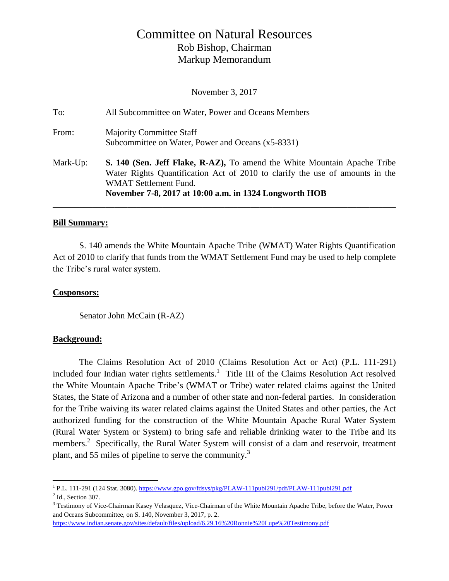# Committee on Natural Resources Rob Bishop, Chairman Markup Memorandum

November 3, 2017

| To:      | All Subcommittee on Water, Power and Oceans Members                                                                                                                                                                                                |
|----------|----------------------------------------------------------------------------------------------------------------------------------------------------------------------------------------------------------------------------------------------------|
| From:    | <b>Majority Committee Staff</b><br>Subcommittee on Water, Power and Oceans (x5-8331)                                                                                                                                                               |
| Mark-Up: | S. 140 (Sen. Jeff Flake, R-AZ), To amend the White Mountain Apache Tribe<br>Water Rights Quantification Act of 2010 to clarify the use of amounts in the<br><b>WMAT Settlement Fund.</b><br>November 7-8, 2017 at 10:00 a.m. in 1324 Longworth HOB |

#### **Bill Summary:**

S. 140 amends the White Mountain Apache Tribe (WMAT) Water Rights Quantification Act of 2010 to clarify that funds from the WMAT Settlement Fund may be used to help complete the Tribe's rural water system.

#### **Cosponsors:**

Senator John McCain (R-AZ)

#### **Background:**

The Claims Resolution Act of 2010 (Claims Resolution Act or Act) (P.L. 111-291) included four Indian water rights settlements.<sup>1</sup> Title III of the Claims Resolution Act resolved the White Mountain Apache Tribe's (WMAT or Tribe) water related claims against the United States, the State of Arizona and a number of other state and non-federal parties. In consideration for the Tribe waiving its water related claims against the United States and other parties, the Act authorized funding for the construction of the White Mountain Apache Rural Water System (Rural Water System or System) to bring safe and reliable drinking water to the Tribe and its members.<sup>2</sup> Specifically, the Rural Water System will consist of a dam and reservoir, treatment plant, and 55 miles of pipeline to serve the community.<sup>3</sup>

 $\overline{a}$ 

<sup>&</sup>lt;sup>1</sup> P.L. 111-291 (124 Stat. 3080)[. https://www.gpo.gov/fdsys/pkg/PLAW-111publ291/pdf/PLAW-111publ291.pdf](https://www.gpo.gov/fdsys/pkg/PLAW-111publ291/pdf/PLAW-111publ291.pdf)

<sup>&</sup>lt;sup>2</sup> Id., Section 307.

<sup>&</sup>lt;sup>3</sup> Testimony of Vice-Chairman Kasey Velasquez, Vice-Chairman of the White Mountain Apache Tribe, before the Water, Power and Oceans Subcommittee, on S. 140, November 3, 2017, p. 2.

<https://www.indian.senate.gov/sites/default/files/upload/6.29.16%20Ronnie%20Lupe%20Testimony.pdf>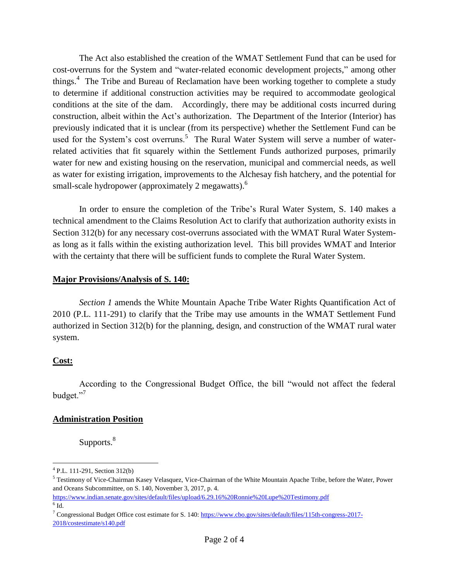The Act also established the creation of the WMAT Settlement Fund that can be used for cost-overruns for the System and "water-related economic development projects," among other things.<sup>4</sup> The Tribe and Bureau of Reclamation have been working together to complete a study to determine if additional construction activities may be required to accommodate geological conditions at the site of the dam. Accordingly, there may be additional costs incurred during construction, albeit within the Act's authorization. The Department of the Interior (Interior) has previously indicated that it is unclear (from its perspective) whether the Settlement Fund can be used for the System's cost overruns.<sup>5</sup> The Rural Water System will serve a number of waterrelated activities that fit squarely within the Settlement Funds authorized purposes, primarily water for new and existing housing on the reservation, municipal and commercial needs, as well as water for existing irrigation, improvements to the Alchesay fish hatchery, and the potential for small-scale hydropower (approximately 2 megawatts).<sup>6</sup>

In order to ensure the completion of the Tribe's Rural Water System, S. 140 makes a technical amendment to the Claims Resolution Act to clarify that authorization authority exists in Section 312(b) for any necessary cost-overruns associated with the WMAT Rural Water Systemas long as it falls within the existing authorization level. This bill provides WMAT and Interior with the certainty that there will be sufficient funds to complete the Rural Water System.

#### **Major Provisions/Analysis of S. 140:**

*Section 1* amends the White Mountain Apache Tribe Water Rights Quantification Act of 2010 (P.L. 111-291) to clarify that the Tribe may use amounts in the WMAT Settlement Fund authorized in Section 312(b) for the planning, design, and construction of the WMAT rural water system.

#### **Cost:**

 $\overline{a}$ 

According to the Congressional Budget Office, the bill "would not affect the federal budget."<sup>7</sup>

#### **Administration Position**

Supports.<sup>8</sup>

<sup>4</sup> P.L. 111-291, Section 312(b)

<sup>5</sup> Testimony of Vice-Chairman Kasey Velasquez, Vice-Chairman of the White Mountain Apache Tribe, before the Water, Power and Oceans Subcommittee, on S. 140, November 3, 2017, p. 4.

<https://www.indian.senate.gov/sites/default/files/upload/6.29.16%20Ronnie%20Lupe%20Testimony.pdf>  $^6$  Id.

<sup>&</sup>lt;sup>7</sup> Congressional Budget Office cost estimate for S. 140: [https://www.cbo.gov/sites/default/files/115th-congress-2017-](https://www.cbo.gov/sites/default/files/115th-congress-2017-2018/costestimate/s140.pdf) [2018/costestimate/s140.pdf](https://www.cbo.gov/sites/default/files/115th-congress-2017-2018/costestimate/s140.pdf)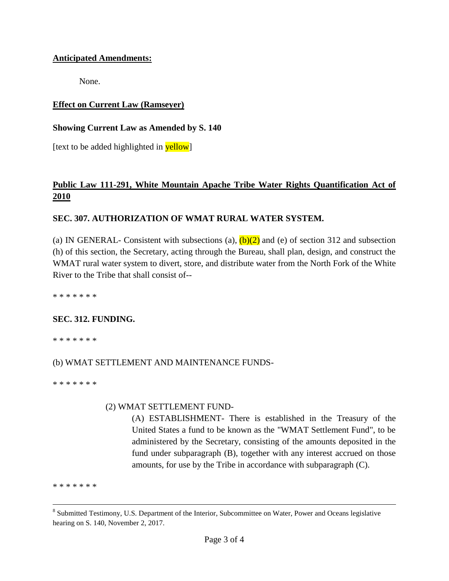#### **Anticipated Amendments:**

None.

### **Effect on Current Law (Ramseyer)**

#### **Showing Current Law as Amended by S. 140**

[text to be added highlighted in **yellow**]

## **Public Law 111-291, White Mountain Apache Tribe Water Rights Quantification Act of 2010**

### **SEC. 307. AUTHORIZATION OF WMAT RURAL WATER SYSTEM.**

(a) IN GENERAL- Consistent with subsections (a),  $(b)(2)$  and (e) of section 312 and subsection (h) of this section, the Secretary, acting through the Bureau, shall plan, design, and construct the WMAT rural water system to divert, store, and distribute water from the North Fork of the White River to the Tribe that shall consist of--

\* \* \* \* \* \* \*

### **SEC. 312. FUNDING.**

\* \* \* \* \* \* \*

### (b) WMAT SETTLEMENT AND MAINTENANCE FUNDS-

\* \* \* \* \* \* \*

#### (2) WMAT SETTLEMENT FUND-

(A) ESTABLISHMENT- There is established in the Treasury of the United States a fund to be known as the "WMAT Settlement Fund", to be administered by the Secretary, consisting of the amounts deposited in the fund under subparagraph (B), together with any interest accrued on those amounts, for use by the Tribe in accordance with subparagraph (C).

\* \* \* \* \* \* \*

 $\overline{a}$ 

<sup>&</sup>lt;sup>8</sup> Submitted Testimony, U.S. Department of the Interior, Subcommittee on Water, Power and Oceans legislative hearing on S. 140, November 2, 2017.